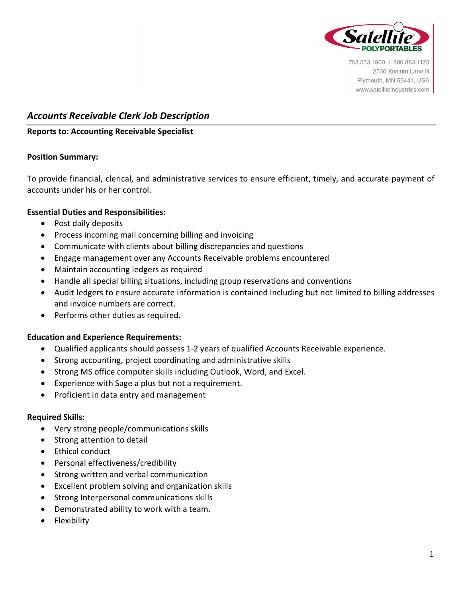

763.553.1900 | 800.883.1123 2530 Xenium Lane N Plymouth, MN 55441, USA www.satelliteindustries.com

# *Accounts Receivable Clerk Job Description*

# **Reports to: Accounting Receivable Specialist**

# **Position Summary:**

To provide financial, clerical, and administrative services to ensure efficient, timely, and accurate payment of accounts under his or her control.

## **Essential Duties and Responsibilities:**

- Post daily deposits
- Process incoming mail concerning billing and invoicing
- Communicate with clients about billing discrepancies and questions
- Engage management over any Accounts Receivable problems encountered
- Maintain accounting ledgers as required
- Handle all special billing situations, including group reservations and conventions
- Audit ledgers to ensure accurate information is contained including but not limited to billing addresses and invoice numbers are correct.
- Performs other duties as required.

#### **Education and Experience Requirements:**

- Qualified applicants should possess 1-2 years of qualified Accounts Receivable experience.
- Strong accounting, project coordinating and administrative skills
- Strong MS office computer skills including Outlook, Word, and Excel.
- Experience with Sage a plus but not a requirement.
- Proficient in data entry and management

#### **Required Skills:**

- Very strong people/communications skills
- Strong attention to detail
- Ethical conduct
- Personal effectiveness/credibility
- Strong written and verbal communication
- Excellent problem solving and organization skills
- Strong Interpersonal communications skills
- Demonstrated ability to work with a team.
- Flexibility